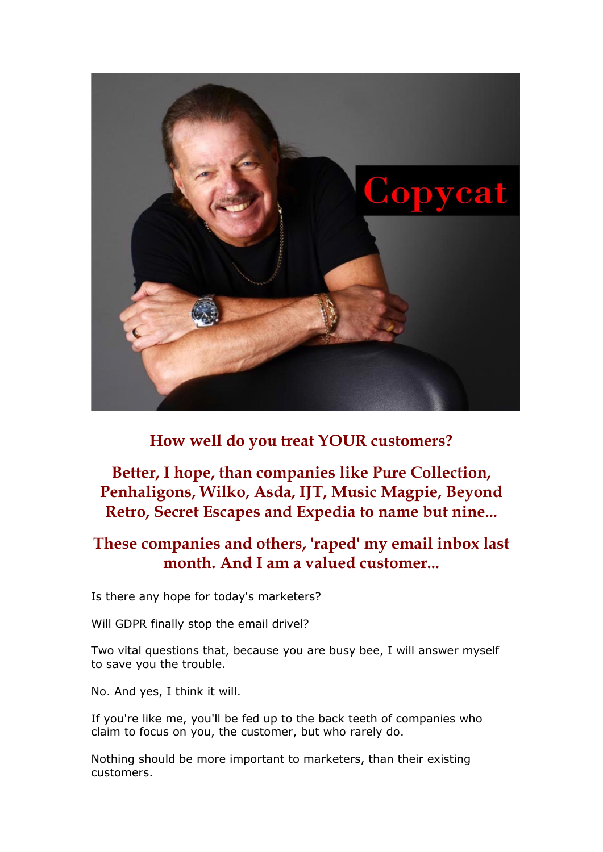

**How well do you treat YOUR customers?**

# **Better, I hope, than companies like Pure Collection, Penhaligons, Wilko, Asda, IJT, Music Magpie, Beyond Retro, Secret Escapes and Expedia to name but nine...**

# **These companies and others, 'raped' my email inbox last month. And I am a valued customer...**

Is there any hope for today's marketers?

Will GDPR finally stop the email drivel?

Two vital questions that, because you are busy bee, I will answer myself to save you the trouble.

No. And yes, I think it will.

If you're like me, you'll be fed up to the back teeth of companies who claim to focus on you, the customer, but who rarely do.

Nothing should be more important to marketers, than their existing customers.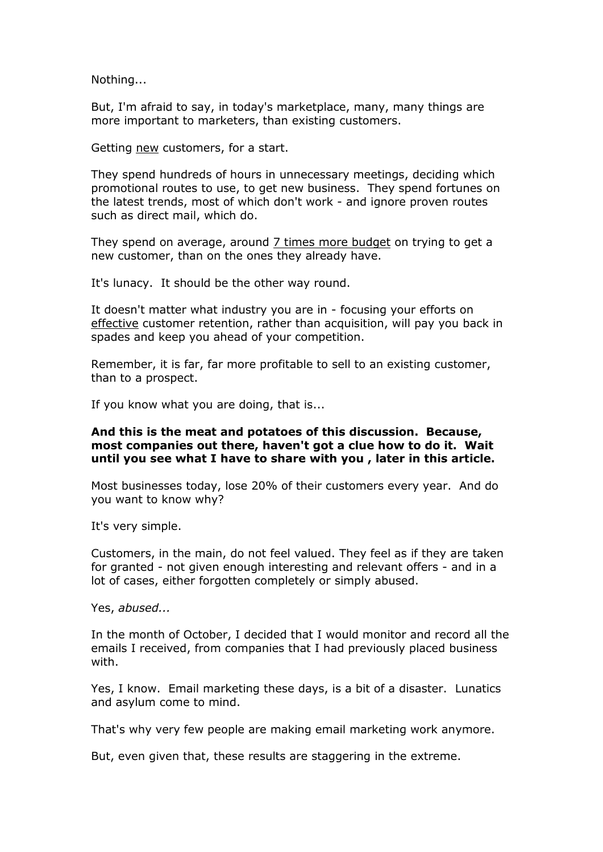Nothing...

But, I'm afraid to say, in today's marketplace, many, many things are more important to marketers, than existing customers.

Getting new customers, for a start.

They spend hundreds of hours in unnecessary meetings, deciding which promotional routes to use, to get new business. They spend fortunes on the latest trends, most of which don't work - and ignore proven routes such as direct mail, which do.

They spend on average, around  $\overline{Z}$  times more budget on trying to get a new customer, than on the ones they already have.

It's lunacy. It should be the other way round.

It doesn't matter what industry you are in - focusing your efforts on effective customer retention, rather than acquisition, will pay you back in spades and keep you ahead of your competition.

Remember, it is far, far more profitable to sell to an existing customer, than to a prospect.

If you know what you are doing, that is...

### **And this is the meat and potatoes of this discussion. Because, most companies out there, haven't got a clue how to do it. Wait until you see what I have to share with you , later in this article.**

Most businesses today, lose 20% of their customers every year. And do you want to know why?

It's very simple.

Customers, in the main, do not feel valued. They feel as if they are taken for granted - not given enough interesting and relevant offers - and in a lot of cases, either forgotten completely or simply abused.

Yes, *abused...*

In the month of October, I decided that I would monitor and record all the emails I received, from companies that I had previously placed business with.

Yes, I know. Email marketing these days, is a bit of a disaster. Lunatics and asylum come to mind.

That's why very few people are making email marketing work anymore.

But, even given that, these results are staggering in the extreme.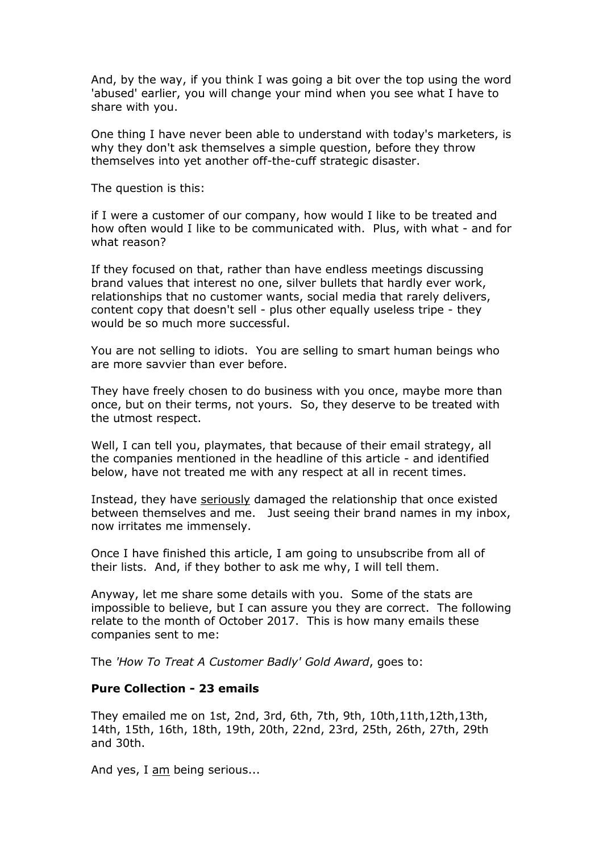And, by the way, if you think I was going a bit over the top using the word 'abused' earlier, you will change your mind when you see what I have to share with you.

One thing I have never been able to understand with today's marketers, is why they don't ask themselves a simple question, before they throw themselves into yet another off-the-cuff strategic disaster.

The question is this:

if I were a customer of our company, how would I like to be treated and how often would I like to be communicated with. Plus, with what - and for what reason?

If they focused on that, rather than have endless meetings discussing brand values that interest no one, silver bullets that hardly ever work, relationships that no customer wants, social media that rarely delivers, content copy that doesn't sell - plus other equally useless tripe - they would be so much more successful.

You are not selling to idiots. You are selling to smart human beings who are more savvier than ever before.

They have freely chosen to do business with you once, maybe more than once, but on their terms, not yours. So, they deserve to be treated with the utmost respect.

Well, I can tell you, playmates, that because of their email strategy, all the companies mentioned in the headline of this article - and identified below, have not treated me with any respect at all in recent times.

Instead, they have seriously damaged the relationship that once existed between themselves and me. Just seeing their brand names in my inbox, now irritates me immensely.

Once I have finished this article, I am going to unsubscribe from all of their lists. And, if they bother to ask me why, I will tell them.

Anyway, let me share some details with you. Some of the stats are impossible to believe, but I can assure you they are correct. The following relate to the month of October 2017. This is how many emails these companies sent to me:

The *'How To Treat A Customer Badly' Gold Award*, goes to:

### **Pure Collection - 23 emails**

They emailed me on 1st, 2nd, 3rd, 6th, 7th, 9th, 10th,11th,12th,13th, 14th, 15th, 16th, 18th, 19th, 20th, 22nd, 23rd, 25th, 26th, 27th, 29th and 30th.

And yes, I am being serious...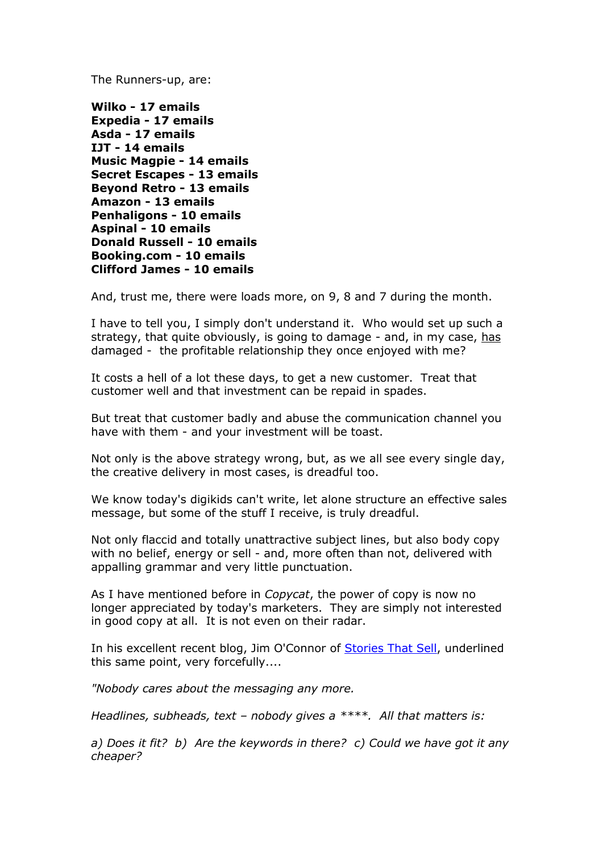The Runners-up, are:

**Wilko - 17 emails Expedia - 17 emails Asda - 17 emails IJT - 14 emails Music Magpie - 14 emails Secret Escapes - 13 emails Beyond Retro - 13 emails Amazon - 13 emails Penhaligons - 10 emails Aspinal - 10 emails Donald Russell - 10 emails Booking.com - 10 emails Clifford James - 10 emails**

And, trust me, there were loads more, on 9, 8 and 7 during the month.

I have to tell you, I simply don't understand it. Who would set up such a strategy, that quite obviously, is going to damage - and, in my case, has damaged - the profitable relationship they once enjoyed with me?

It costs a hell of a lot these days, to get a new customer. Treat that customer well and that investment can be repaid in spades.

But treat that customer badly and abuse the communication channel you have with them - and your investment will be toast.

Not only is the above strategy wrong, but, as we all see every single day, the creative delivery in most cases, is dreadful too.

We know today's digikids can't write, let alone structure an effective sales message, but some of the stuff I receive, is truly dreadful.

Not only flaccid and totally unattractive subject lines, but also body copy with no belief, energy or sell - and, more often than not, delivered with appalling grammar and very little punctuation.

As I have mentioned before in *Copycat*, the power of copy is now no longer appreciated by today's marketers. They are simply not interested in good copy at all. It is not even on their radar.

In his excellent recent blog, Jim O'Connor of [Stories That Sell,](http://www.storiesthatsell.co.uk/2017/03/copywriting-become-joke/) underlined this same point, very forcefully....

*"Nobody cares about the messaging any more.*

*Headlines, subheads, text – nobody gives a \*\*\*\*. All that matters is:* 

*a) Does it fit? b) Are the keywords in there? c) Could we have got it any cheaper?*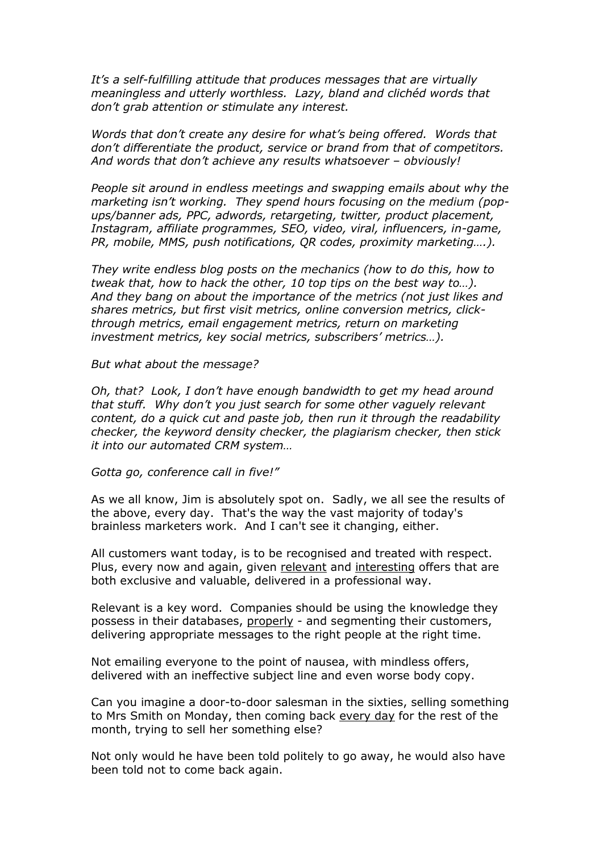*It's a self-fulfilling attitude that produces messages that are virtually meaningless and utterly worthless. Lazy, bland and clichéd words that don't grab attention or stimulate any interest.*

*Words that don't create any desire for what's being offered. Words that don't differentiate the product, service or brand from that of competitors. And words that don't achieve any results whatsoever – obviously!*

*People sit around in endless meetings and swapping emails about why the marketing isn't working. They spend hours focusing on the medium (popups/banner ads, PPC, adwords, retargeting, twitter, product placement, Instagram, affiliate programmes, SEO, video, viral, influencers, in-game, PR, mobile, MMS, push notifications, QR codes, proximity marketing….).*

*They write endless blog posts on the mechanics (how to do this, how to tweak that, how to hack the other, 10 top tips on the best way to…). And they bang on about the importance of the metrics (not just likes and shares metrics, but first visit metrics, online conversion metrics, clickthrough metrics, email engagement metrics, return on marketing investment metrics, key social metrics, subscribers' metrics…).*

*But what about the message?*

*Oh, that? Look, I don't have enough bandwidth to get my head around that stuff. Why don't you just search for some other vaguely relevant content, do a quick cut and paste job, then run it through the readability checker, the keyword density checker, the plagiarism checker, then stick it into our automated CRM system…*

*Gotta go, conference call in five!"*

As we all know, Jim is absolutely spot on. Sadly, we all see the results of the above, every day. That's the way the vast majority of today's brainless marketers work. And I can't see it changing, either.

All customers want today, is to be recognised and treated with respect. Plus, every now and again, given relevant and interesting offers that are both exclusive and valuable, delivered in a professional way.

Relevant is a key word. Companies should be using the knowledge they possess in their databases, properly - and segmenting their customers, delivering appropriate messages to the right people at the right time.

Not emailing everyone to the point of nausea, with mindless offers, delivered with an ineffective subject line and even worse body copy.

Can you imagine a door-to-door salesman in the sixties, selling something to Mrs Smith on Monday, then coming back every day for the rest of the month, trying to sell her something else?

Not only would he have been told politely to go away, he would also have been told not to come back again.